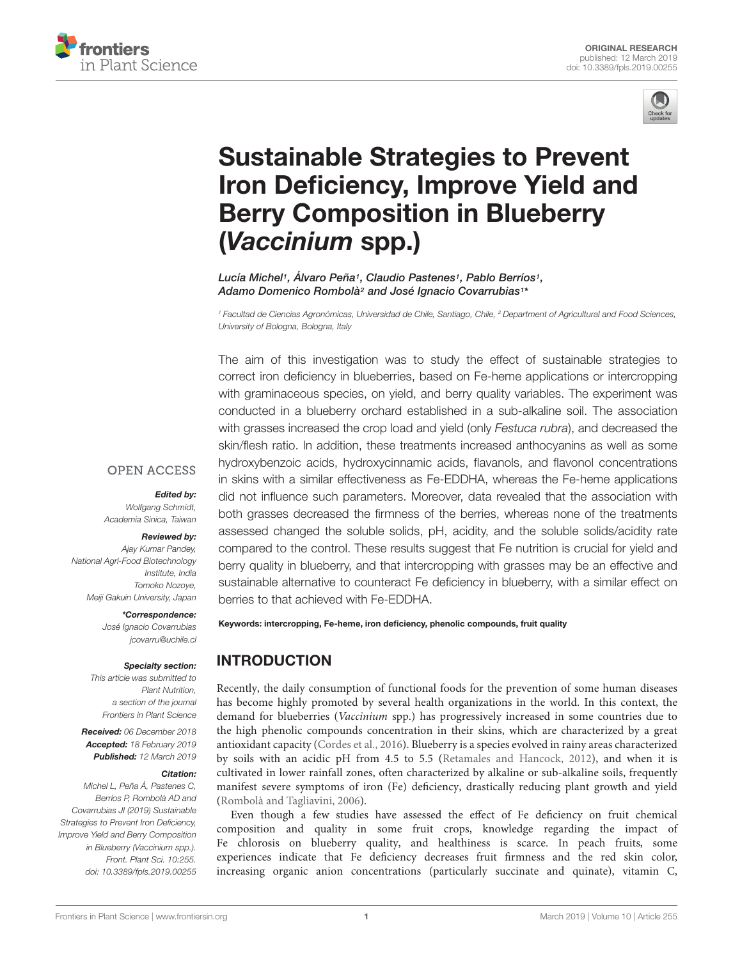



# Sustainable Strategies to Prevent [Iron Deficiency, Improve Yield and](https://www.frontiersin.org/articles/10.3389/fpls.2019.00255/full) Berry Composition in Blueberry (Vaccinium spp.)

Lucía Michel1, Alvaro Peña1, [Claudio Pastenes](http://loop.frontiersin.org/people/239483/overview)1, Pablo Berríos1, Adamo Domenico Rombolಠand [José Ignacio Covarrubias](http://loop.frontiersin.org/people/311189/overview)1\*

<sup>1</sup> Facultad de Ciencias Agronómicas, Universidad de Chile, Santiago, Chile, <sup>2</sup> Department of Agricultural and Food Sciences. University of Bologna, Bologna, Italy

The aim of this investigation was to study the effect of sustainable strategies to correct iron deficiency in blueberries, based on Fe-heme applications or intercropping with graminaceous species, on yield, and berry quality variables. The experiment was conducted in a blueberry orchard established in a sub-alkaline soil. The association with grasses increased the crop load and yield (only Festuca rubra), and decreased the skin/flesh ratio. In addition, these treatments increased anthocyanins as well as some hydroxybenzoic acids, hydroxycinnamic acids, flavanols, and flavonol concentrations in skins with a similar effectiveness as Fe-EDDHA, whereas the Fe-heme applications did not influence such parameters. Moreover, data revealed that the association with both grasses decreased the firmness of the berries, whereas none of the treatments assessed changed the soluble solids, pH, acidity, and the soluble solids/acidity rate compared to the control. These results suggest that Fe nutrition is crucial for yield and berry quality in blueberry, and that intercropping with grasses may be an effective and sustainable alternative to counteract Fe deficiency in blueberry, with a similar effect on berries to that achieved with Fe-EDDHA.

#### **OPEN ACCESS**

#### Edited by:

Wolfgang Schmidt, Academia Sinica, Taiwan

#### Reviewed by:

Ajay Kumar Pandey, National Agri-Food Biotechnology Institute, India Tomoko Nozoye, Meiji Gakuin University, Japan

#### \*Correspondence:

José Ignacio Covarrubias jcovarru@uchile.cl

#### Specialty section:

This article was submitted to Plant Nutrition, a section of the journal Frontiers in Plant Science

Received: 06 December 2018 Accepted: 18 February 2019 Published: 12 March 2019

#### Citation:

Michel L, Peña Á, Pastenes C, Berríos P, Rombolà AD and Covarrubias JI (2019) Sustainable Strategies to Prevent Iron Deficiency, Improve Yield and Berry Composition in Blueberry (Vaccinium spp.). Front. Plant Sci. 10:255. doi: [10.3389/fpls.2019.00255](https://doi.org/10.3389/fpls.2019.00255) Keywords: intercropping, Fe-heme, iron deficiency, phenolic compounds, fruit quality

#### INTRODUCTION

Recently, the daily consumption of functional foods for the prevention of some human diseases has become highly promoted by several health organizations in the world. In this context, the demand for blueberries (Vaccinium spp.) has progressively increased in some countries due to the high phenolic compounds concentration in their skins, which are characterized by a great antioxidant capacity [\(Cordes et al.,](#page-8-0) [2016\)](#page-8-0). Blueberry is a species evolved in rainy areas characterized by soils with an acidic pH from 4.5 to 5.5 [\(Retamales and Hancock,](#page-8-1) [2012\)](#page-8-1), and when it is cultivated in lower rainfall zones, often characterized by alkaline or sub-alkaline soils, frequently manifest severe symptoms of iron (Fe) deficiency, drastically reducing plant growth and yield [\(Rombolà and Tagliavini,](#page-8-2) [2006\)](#page-8-2).

Even though a few studies have assessed the effect of Fe deficiency on fruit chemical composition and quality in some fruit crops, knowledge regarding the impact of Fe chlorosis on blueberry quality, and healthiness is scarce. In peach fruits, some experiences indicate that Fe deficiency decreases fruit firmness and the red skin color, increasing organic anion concentrations (particularly succinate and quinate), vitamin C,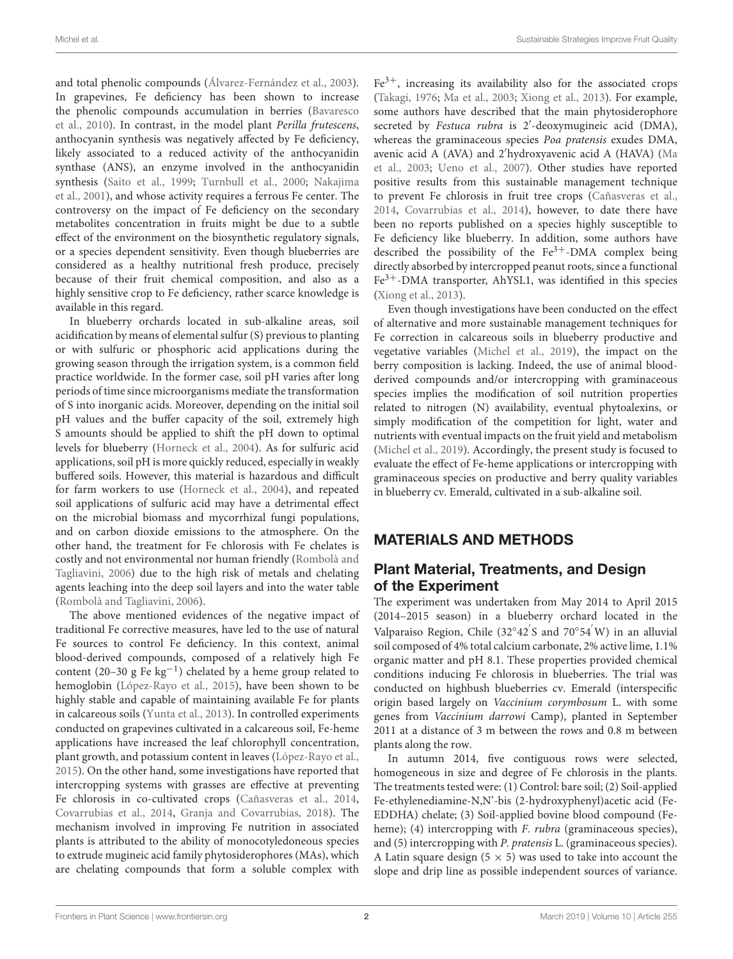and total phenolic compounds [\(Álvarez-Fernández et al.,](#page-8-3) [2003\)](#page-8-3). In grapevines, Fe deficiency has been shown to increase the phenolic compounds accumulation in berries [\(Bavaresco](#page-8-4) [et al.,](#page-8-4) [2010\)](#page-8-4). In contrast, in the model plant Perilla frutescens, anthocyanin synthesis was negatively affected by Fe deficiency, likely associated to a reduced activity of the anthocyanidin synthase (ANS), an enzyme involved in the anthocyanidin synthesis [\(Saito et al.,](#page-9-0) [1999;](#page-9-0) [Turnbull et al.,](#page-9-1) [2000;](#page-9-1) [Nakajima](#page-8-5) [et al.,](#page-8-5) [2001\)](#page-8-5), and whose activity requires a ferrous Fe center. The controversy on the impact of Fe deficiency on the secondary metabolites concentration in fruits might be due to a subtle effect of the environment on the biosynthetic regulatory signals, or a species dependent sensitivity. Even though blueberries are considered as a healthy nutritional fresh produce, precisely because of their fruit chemical composition, and also as a highly sensitive crop to Fe deficiency, rather scarce knowledge is available in this regard.

In blueberry orchards located in sub-alkaline areas, soil acidification by means of elemental sulfur (S) previous to planting or with sulfuric or phosphoric acid applications during the growing season through the irrigation system, is a common field practice worldwide. In the former case, soil pH varies after long periods of time since microorganisms mediate the transformation of S into inorganic acids. Moreover, depending on the initial soil pH values and the buffer capacity of the soil, extremely high S amounts should be applied to shift the pH down to optimal levels for blueberry [\(Horneck et al.,](#page-8-6) [2004\)](#page-8-6). As for sulfuric acid applications, soil pH is more quickly reduced, especially in weakly buffered soils. However, this material is hazardous and difficult for farm workers to use [\(Horneck et al.,](#page-8-6) [2004\)](#page-8-6), and repeated soil applications of sulfuric acid may have a detrimental effect on the microbial biomass and mycorrhizal fungi populations, and on carbon dioxide emissions to the atmosphere. On the other hand, the treatment for Fe chlorosis with Fe chelates is costly and not environmental nor human friendly [\(Rombolà and](#page-8-2) [Tagliavini,](#page-8-2) [2006\)](#page-8-2) due to the high risk of metals and chelating agents leaching into the deep soil layers and into the water table [\(Rombolà and Tagliavini,](#page-8-2) [2006\)](#page-8-2).

The above mentioned evidences of the negative impact of traditional Fe corrective measures, have led to the use of natural Fe sources to control Fe deficiency. In this context, animal blood-derived compounds, composed of a relatively high Fe content (20–30 g Fe kg−<sup>1</sup> ) chelated by a heme group related to hemoglobin [\(López-Rayo et al.,](#page-8-7) [2015\)](#page-8-7), have been shown to be highly stable and capable of maintaining available Fe for plants in calcareous soils [\(Yunta et al.,](#page-9-2) [2013\)](#page-9-2). In controlled experiments conducted on grapevines cultivated in a calcareous soil, Fe-heme applications have increased the leaf chlorophyll concentration, plant growth, and potassium content in leaves [\(López-Rayo et al.,](#page-8-7) [2015\)](#page-8-7). On the other hand, some investigations have reported that intercropping systems with grasses are effective at preventing Fe chlorosis in co-cultivated crops [\(Cañasveras et al.,](#page-8-8) [2014,](#page-8-8) [Covarrubias et al.,](#page-8-9) [2014,](#page-8-9) [Granja and Covarrubias,](#page-8-10) [2018\)](#page-8-10). The mechanism involved in improving Fe nutrition in associated plants is attributed to the ability of monocotyledoneous species to extrude mugineic acid family phytosiderophores (MAs), which are chelating compounds that form a soluble complex with

 $Fe<sup>3+</sup>$ , increasing its availability also for the associated crops [\(Takagi,](#page-9-3) [1976;](#page-9-3) [Ma et al.,](#page-8-11) [2003;](#page-8-11) [Xiong et al.,](#page-9-4) [2013\)](#page-9-4). For example, some authors have described that the main phytosiderophore secreted by Festuca rubra is 2'-deoxymugineic acid (DMA), whereas the graminaceous species Poa pratensis exudes DMA, avenic acid A (AVA) and 2'hydroxyavenic acid A (HAVA) [\(Ma](#page-8-11) [et al.,](#page-8-11) [2003;](#page-8-11) [Ueno et al.,](#page-9-5) [2007\)](#page-9-5). Other studies have reported positive results from this sustainable management technique to prevent Fe chlorosis in fruit tree crops [\(Cañasveras et al.,](#page-8-8) [2014,](#page-8-8) [Covarrubias et al.,](#page-8-9) [2014\)](#page-8-9), however, to date there have been no reports published on a species highly susceptible to Fe deficiency like blueberry. In addition, some authors have described the possibility of the  $Fe<sup>3+</sup>$ -DMA complex being directly absorbed by intercropped peanut roots, since a functional Fe3+-DMA transporter, AhYSL1, was identified in this species [\(Xiong et al.,](#page-9-4) [2013\)](#page-9-4).

Even though investigations have been conducted on the effect of alternative and more sustainable management techniques for Fe correction in calcareous soils in blueberry productive and vegetative variables [\(Michel et al.,](#page-8-12) [2019\)](#page-8-12), the impact on the berry composition is lacking. Indeed, the use of animal bloodderived compounds and/or intercropping with graminaceous species implies the modification of soil nutrition properties related to nitrogen (N) availability, eventual phytoalexins, or simply modification of the competition for light, water and nutrients with eventual impacts on the fruit yield and metabolism [\(Michel et al.,](#page-8-12) [2019\)](#page-8-12). Accordingly, the present study is focused to evaluate the effect of Fe-heme applications or intercropping with graminaceous species on productive and berry quality variables in blueberry cv. Emerald, cultivated in a sub-alkaline soil.

#### MATERIALS AND METHODS

#### Plant Material, Treatments, and Design of the Experiment

The experiment was undertaken from May 2014 to April 2015 (2014–2015 season) in a blueberry orchard located in the Valparaiso Region, Chile (32°42<sup>'</sup>S and 70°54<sup>'</sup>W) in an alluvial soil composed of 4% total calcium carbonate, 2% active lime, 1.1% organic matter and pH 8.1. These properties provided chemical conditions inducing Fe chlorosis in blueberries. The trial was conducted on highbush blueberries cv. Emerald (interspecific origin based largely on Vaccinium corymbosum L. with some genes from Vaccinium darrowi Camp), planted in September 2011 at a distance of 3 m between the rows and 0.8 m between plants along the row.

In autumn 2014, five contiguous rows were selected, homogeneous in size and degree of Fe chlorosis in the plants. The treatments tested were: (1) Control: bare soil; (2) Soil-applied Fe-ethylenediamine-N,N'-bis (2-hydroxyphenyl)acetic acid (Fe-EDDHA) chelate; (3) Soil-applied bovine blood compound (Feheme); (4) intercropping with *F. rubra* (graminaceous species), and (5) intercropping with P. pratensis L. (graminaceous species). A Latin square design  $(5 \times 5)$  was used to take into account the slope and drip line as possible independent sources of variance.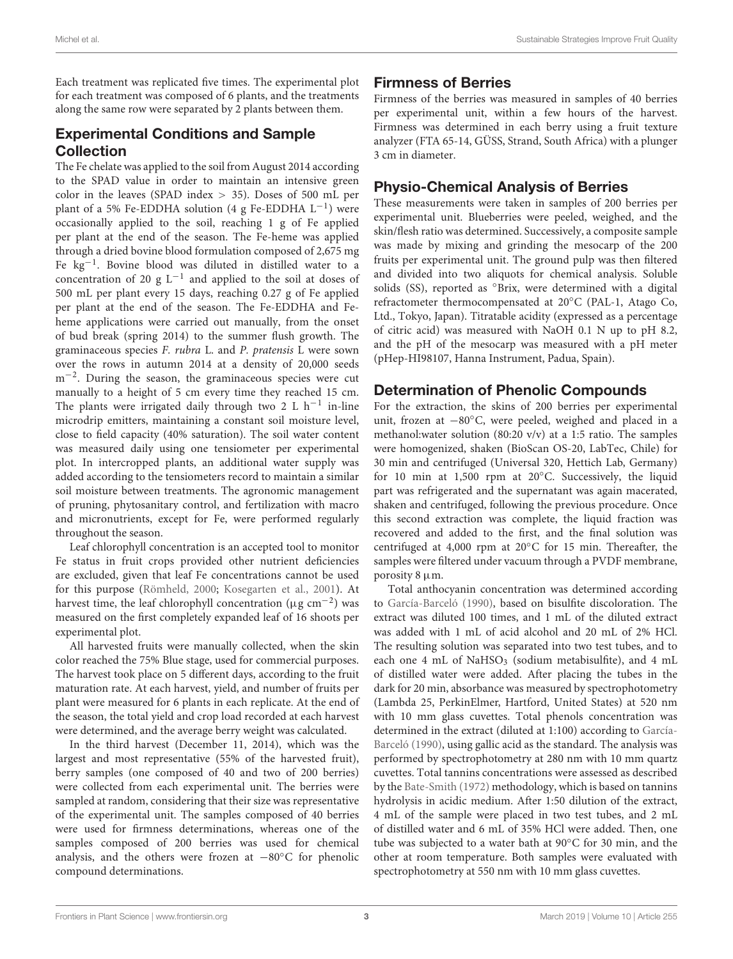Each treatment was replicated five times. The experimental plot for each treatment was composed of 6 plants, and the treatments along the same row were separated by 2 plants between them.

# Experimental Conditions and Sample **Collection**

The Fe chelate was applied to the soil from August 2014 according to the SPAD value in order to maintain an intensive green color in the leaves (SPAD index > 35). Doses of 500 mL per plant of a 5% Fe-EDDHA solution (4 g Fe-EDDHA L<sup>-1</sup>) were occasionally applied to the soil, reaching 1 g of Fe applied per plant at the end of the season. The Fe-heme was applied through a dried bovine blood formulation composed of 2,675 mg Fe kg−<sup>1</sup> . Bovine blood was diluted in distilled water to a concentration of 20 g  $L^{-1}$  and applied to the soil at doses of 500 mL per plant every 15 days, reaching 0.27 g of Fe applied per plant at the end of the season. The Fe-EDDHA and Feheme applications were carried out manually, from the onset of bud break (spring 2014) to the summer flush growth. The graminaceous species F. rubra L. and P. pratensis L were sown over the rows in autumn 2014 at a density of 20,000 seeds m<sup>-2</sup>. During the season, the graminaceous species were cut manually to a height of 5 cm every time they reached 15 cm. The plants were irrigated daily through two 2 L  $h^{-1}$  in-line microdrip emitters, maintaining a constant soil moisture level, close to field capacity (40% saturation). The soil water content was measured daily using one tensiometer per experimental plot. In intercropped plants, an additional water supply was added according to the tensiometers record to maintain a similar soil moisture between treatments. The agronomic management of pruning, phytosanitary control, and fertilization with macro and micronutrients, except for Fe, were performed regularly throughout the season.

Leaf chlorophyll concentration is an accepted tool to monitor Fe status in fruit crops provided other nutrient deficiencies are excluded, given that leaf Fe concentrations cannot be used for this purpose [\(Römheld,](#page-8-13) [2000;](#page-8-13) [Kosegarten et al.,](#page-8-14) [2001\)](#page-8-14). At harvest time, the leaf chlorophyll concentration ( $\mu$ g cm<sup>-2</sup>) was measured on the first completely expanded leaf of 16 shoots per experimental plot.

All harvested fruits were manually collected, when the skin color reached the 75% Blue stage, used for commercial purposes. The harvest took place on 5 different days, according to the fruit maturation rate. At each harvest, yield, and number of fruits per plant were measured for 6 plants in each replicate. At the end of the season, the total yield and crop load recorded at each harvest were determined, and the average berry weight was calculated.

In the third harvest (December 11, 2014), which was the largest and most representative (55% of the harvested fruit), berry samples (one composed of 40 and two of 200 berries) were collected from each experimental unit. The berries were sampled at random, considering that their size was representative of the experimental unit. The samples composed of 40 berries were used for firmness determinations, whereas one of the samples composed of 200 berries was used for chemical analysis, and the others were frozen at −80◦C for phenolic compound determinations.

# Firmness of Berries

Firmness of the berries was measured in samples of 40 berries per experimental unit, within a few hours of the harvest. Firmness was determined in each berry using a fruit texture analyzer (FTA 65-14, GÜSS, Strand, South Africa) with a plunger 3 cm in diameter.

# Physio-Chemical Analysis of Berries

These measurements were taken in samples of 200 berries per experimental unit. Blueberries were peeled, weighed, and the skin/flesh ratio was determined. Successively, a composite sample was made by mixing and grinding the mesocarp of the 200 fruits per experimental unit. The ground pulp was then filtered and divided into two aliquots for chemical analysis. Soluble solids (SS), reported as ◦Brix, were determined with a digital refractometer thermocompensated at 20◦C (PAL-1, Atago Co, Ltd., Tokyo, Japan). Titratable acidity (expressed as a percentage of citric acid) was measured with NaOH 0.1 N up to pH 8.2, and the pH of the mesocarp was measured with a pH meter (pHep-HI98107, Hanna Instrument, Padua, Spain).

### Determination of Phenolic Compounds

For the extraction, the skins of 200 berries per experimental unit, frozen at −80◦C, were peeled, weighed and placed in a methanol:water solution (80:20 v/v) at a 1:5 ratio. The samples were homogenized, shaken (BioScan OS-20, LabTec, Chile) for 30 min and centrifuged (Universal 320, Hettich Lab, Germany) for 10 min at 1,500 rpm at 20℃. Successively, the liquid part was refrigerated and the supernatant was again macerated, shaken and centrifuged, following the previous procedure. Once this second extraction was complete, the liquid fraction was recovered and added to the first, and the final solution was centrifuged at 4,000 rpm at 20◦C for 15 min. Thereafter, the samples were filtered under vacuum through a PVDF membrane, porosity 8 µm.

Total anthocyanin concentration was determined according to [García-Barceló](#page-8-15) [\(1990\)](#page-8-15), based on bisulfite discoloration. The extract was diluted 100 times, and 1 mL of the diluted extract was added with 1 mL of acid alcohol and 20 mL of 2% HCl. The resulting solution was separated into two test tubes, and to each one 4 mL of NaHSO<sub>3</sub> (sodium metabisulfite), and 4 mL of distilled water were added. After placing the tubes in the dark for 20 min, absorbance was measured by spectrophotometry (Lambda 25, PerkinElmer, Hartford, United States) at 520 nm with 10 mm glass cuvettes. Total phenols concentration was determined in the extract (diluted at 1:100) according to [García-](#page-8-15)[Barceló](#page-8-15) [\(1990\)](#page-8-15), using gallic acid as the standard. The analysis was performed by spectrophotometry at 280 nm with 10 mm quartz cuvettes. Total tannins concentrations were assessed as described by the [Bate-Smith](#page-8-16) [\(1972\)](#page-8-16) methodology, which is based on tannins hydrolysis in acidic medium. After 1:50 dilution of the extract, 4 mL of the sample were placed in two test tubes, and 2 mL of distilled water and 6 mL of 35% HCl were added. Then, one tube was subjected to a water bath at 90◦C for 30 min, and the other at room temperature. Both samples were evaluated with spectrophotometry at 550 nm with 10 mm glass cuvettes.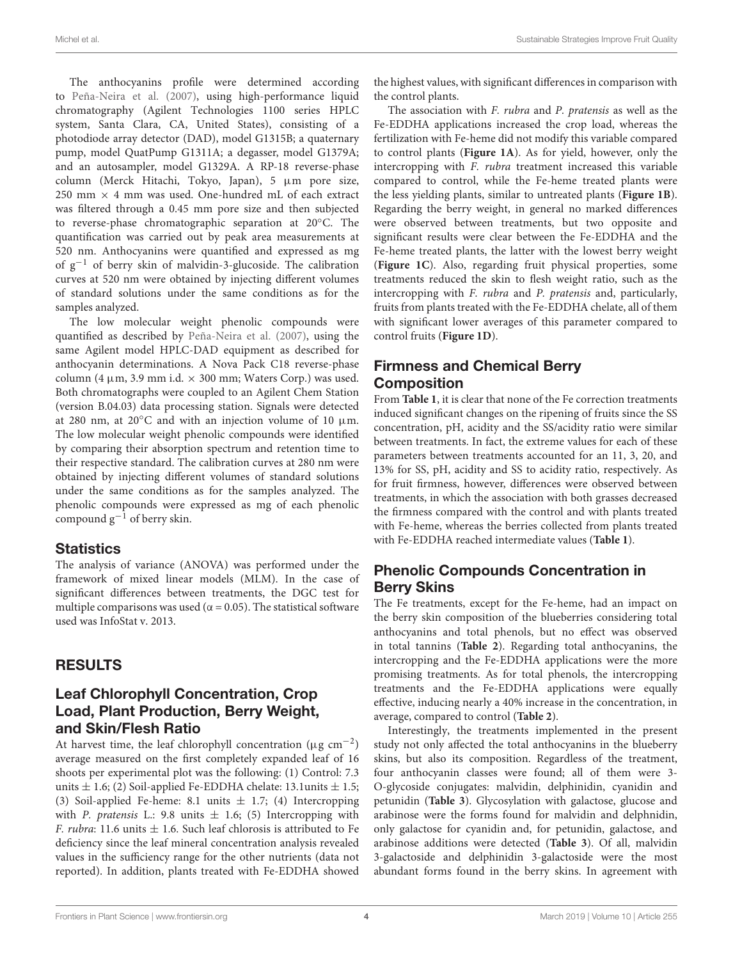The anthocyanins profile were determined according to [Peña-Neira et al.](#page-8-17) [\(2007\)](#page-8-17), using high-performance liquid chromatography (Agilent Technologies 1100 series HPLC system, Santa Clara, CA, United States), consisting of a photodiode array detector (DAD), model G1315B; a quaternary pump, model QuatPump G1311A; a degasser, model G1379A; and an autosampler, model G1329A. A RP-18 reverse-phase column (Merck Hitachi, Tokyo, Japan), 5 µm pore size, 250 mm  $\times$  4 mm was used. One-hundred mL of each extract was filtered through a 0.45 mm pore size and then subjected to reverse-phase chromatographic separation at 20◦C. The quantification was carried out by peak area measurements at 520 nm. Anthocyanins were quantified and expressed as mg of g−<sup>1</sup> of berry skin of malvidin-3-glucoside. The calibration curves at 520 nm were obtained by injecting different volumes of standard solutions under the same conditions as for the samples analyzed.

The low molecular weight phenolic compounds were quantified as described by [Peña-Neira et al.](#page-8-17) [\(2007\)](#page-8-17), using the same Agilent model HPLC-DAD equipment as described for anthocyanin determinations. A Nova Pack C18 reverse-phase column (4  $\mu$ m, 3.9 mm i.d.  $\times$  300 mm; Waters Corp.) was used. Both chromatographs were coupled to an Agilent Chem Station (version B.04.03) data processing station. Signals were detected at 280 nm, at 20 $\degree$ C and with an injection volume of 10  $\mu$ m. The low molecular weight phenolic compounds were identified by comparing their absorption spectrum and retention time to their respective standard. The calibration curves at 280 nm were obtained by injecting different volumes of standard solutions under the same conditions as for the samples analyzed. The phenolic compounds were expressed as mg of each phenolic compound  $g^{-1}$  of berry skin.

#### **Statistics**

The analysis of variance (ANOVA) was performed under the framework of mixed linear models (MLM). In the case of significant differences between treatments, the DGC test for multiple comparisons was used ( $\alpha$  = 0.05). The statistical software used was InfoStat v. 2013.

# RESULTS

#### Leaf Chlorophyll Concentration, Crop Load, Plant Production, Berry Weight, and Skin/Flesh Ratio

At harvest time, the leaf chlorophyll concentration ( $\mu$ g cm<sup>-2</sup>) average measured on the first completely expanded leaf of 16 shoots per experimental plot was the following: (1) Control: 7.3 units  $\pm$  1.6; (2) Soil-applied Fe-EDDHA chelate: 13.1units  $\pm$  1.5; (3) Soil-applied Fe-heme: 8.1 units  $\pm$  1.7; (4) Intercropping with P. pratensis L.: 9.8 units  $\pm$  1.6; (5) Intercropping with F. rubra: 11.6 units  $\pm$  1.6. Such leaf chlorosis is attributed to Fe deficiency since the leaf mineral concentration analysis revealed values in the sufficiency range for the other nutrients (data not reported). In addition, plants treated with Fe-EDDHA showed

the highest values, with significant differences in comparison with the control plants.

The association with F. rubra and P. pratensis as well as the Fe-EDDHA applications increased the crop load, whereas the fertilization with Fe-heme did not modify this variable compared to control plants (**[Figure 1A](#page-4-0)**). As for yield, however, only the intercropping with F. rubra treatment increased this variable compared to control, while the Fe-heme treated plants were the less yielding plants, similar to untreated plants (**[Figure 1B](#page-4-0)**). Regarding the berry weight, in general no marked differences were observed between treatments, but two opposite and significant results were clear between the Fe-EDDHA and the Fe-heme treated plants, the latter with the lowest berry weight (**[Figure 1C](#page-4-0)**). Also, regarding fruit physical properties, some treatments reduced the skin to flesh weight ratio, such as the intercropping with F. rubra and P. pratensis and, particularly, fruits from plants treated with the Fe-EDDHA chelate, all of them with significant lower averages of this parameter compared to control fruits (**[Figure 1D](#page-4-0)**).

# Firmness and Chemical Berry **Composition**

From **[Table 1](#page-4-1)**, it is clear that none of the Fe correction treatments induced significant changes on the ripening of fruits since the SS concentration, pH, acidity and the SS/acidity ratio were similar between treatments. In fact, the extreme values for each of these parameters between treatments accounted for an 11, 3, 20, and 13% for SS, pH, acidity and SS to acidity ratio, respectively. As for fruit firmness, however, differences were observed between treatments, in which the association with both grasses decreased the firmness compared with the control and with plants treated with Fe-heme, whereas the berries collected from plants treated with Fe-EDDHA reached intermediate values (**[Table 1](#page-4-1)**).

# Phenolic Compounds Concentration in Berry Skins

The Fe treatments, except for the Fe-heme, had an impact on the berry skin composition of the blueberries considering total anthocyanins and total phenols, but no effect was observed in total tannins (**[Table 2](#page-5-0)**). Regarding total anthocyanins, the intercropping and the Fe-EDDHA applications were the more promising treatments. As for total phenols, the intercropping treatments and the Fe-EDDHA applications were equally effective, inducing nearly a 40% increase in the concentration, in average, compared to control (**[Table 2](#page-5-0)**).

Interestingly, the treatments implemented in the present study not only affected the total anthocyanins in the blueberry skins, but also its composition. Regardless of the treatment, four anthocyanin classes were found; all of them were 3- O-glycoside conjugates: malvidin, delphinidin, cyanidin and petunidin (**[Table 3](#page-6-0)**). Glycosylation with galactose, glucose and arabinose were the forms found for malvidin and delphnidin, only galactose for cyanidin and, for petunidin, galactose, and arabinose additions were detected (**[Table 3](#page-6-0)**). Of all, malvidin 3-galactoside and delphinidin 3-galactoside were the most abundant forms found in the berry skins. In agreement with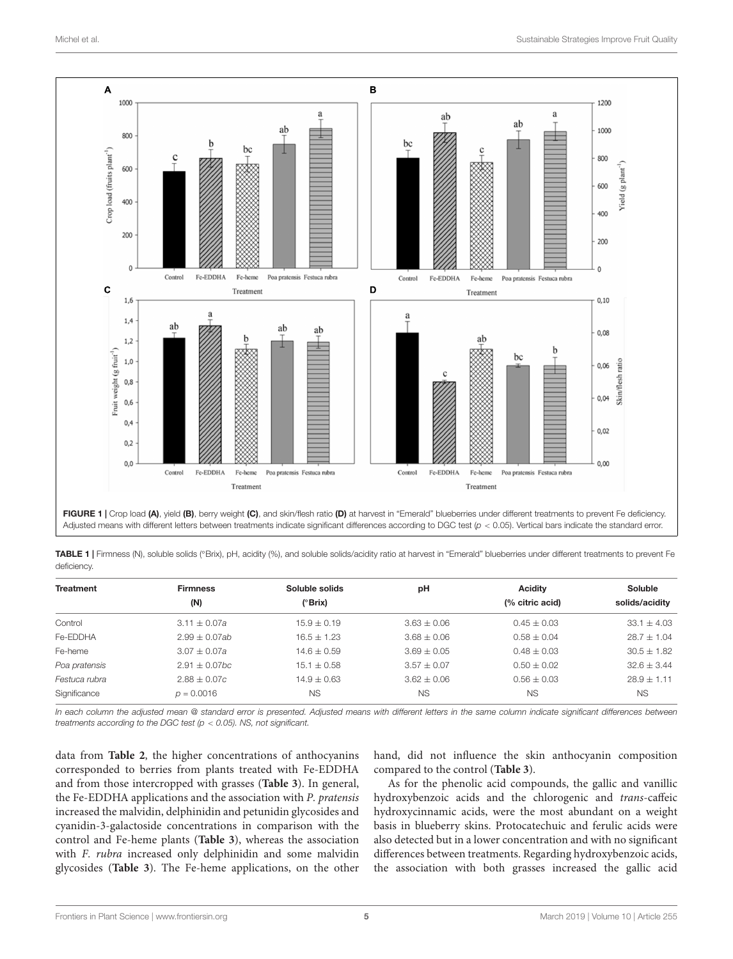

<span id="page-4-0"></span>Adjusted means with different letters between treatments indicate significant differences according to DGC test ( $p < 0.05$ ). Vertical bars indicate the standard error.

<span id="page-4-1"></span>TABLE 1 | Firmness (N), soluble solids (°Brix), pH, acidity (%), and soluble solids/acidity ratio at harvest in "Emerald" blueberries under different treatments to prevent Fe deficiency.

| <b>Treatment</b> | <b>Firmness</b> | Soluble solids | рH            | <b>Acidity</b>  | Soluble         |
|------------------|-----------------|----------------|---------------|-----------------|-----------------|
|                  | (N)             | (°Brix)        |               | (% citric acid) | solids/acidity  |
| Control          | $3.11 + 0.07a$  | $15.9 + 0.19$  | $3.63 + 0.06$ | $0.45 + 0.03$   | $33.1 + 4.03$   |
| Fe-EDDHA         | $2.99 + 0.07ab$ | $16.5 + 1.23$  | $3.68 + 0.06$ | $0.58 \pm 0.04$ | $28.7 \pm 1.04$ |
| Fe-heme          | $3.07 + 0.07a$  | $14.6 + 0.59$  | $3.69 + 0.05$ | $0.48 + 0.03$   | $30.5 + 1.82$   |
| Poa pratensis    | $2.91 + 0.07bc$ | $15.1 + 0.58$  | $3.57 + 0.07$ | $0.50 + 0.02$   | $32.6 + 3.44$   |
| Festuca rubra    | $2.88 + 0.07c$  | $14.9 + 0.63$  | $3.62 + 0.06$ | $0.56 + 0.03$   | $28.9 + 1.11$   |
| Significance     | $p = 0.0016$    | <b>NS</b>      | <b>NS</b>     | <b>NS</b>       | <b>NS</b>       |

In each column the adjusted mean @ standard error is presented. Adjusted means with different letters in the same column indicate significant differences between treatments according to the DGC test ( $p < 0.05$ ). NS, not significant.

data from **[Table 2](#page-5-0)**, the higher concentrations of anthocyanins corresponded to berries from plants treated with Fe-EDDHA and from those intercropped with grasses (**[Table 3](#page-6-0)**). In general, the Fe-EDDHA applications and the association with P. pratensis increased the malvidin, delphinidin and petunidin glycosides and cyanidin-3-galactoside concentrations in comparison with the control and Fe-heme plants (**[Table 3](#page-6-0)**), whereas the association with F. rubra increased only delphinidin and some malvidin glycosides (**[Table 3](#page-6-0)**). The Fe-heme applications, on the other

hand, did not influence the skin anthocyanin composition compared to the control (**[Table 3](#page-6-0)**).

As for the phenolic acid compounds, the gallic and vanillic hydroxybenzoic acids and the chlorogenic and trans-caffeic hydroxycinnamic acids, were the most abundant on a weight basis in blueberry skins. Protocatechuic and ferulic acids were also detected but in a lower concentration and with no significant differences between treatments. Regarding hydroxybenzoic acids, the association with both grasses increased the gallic acid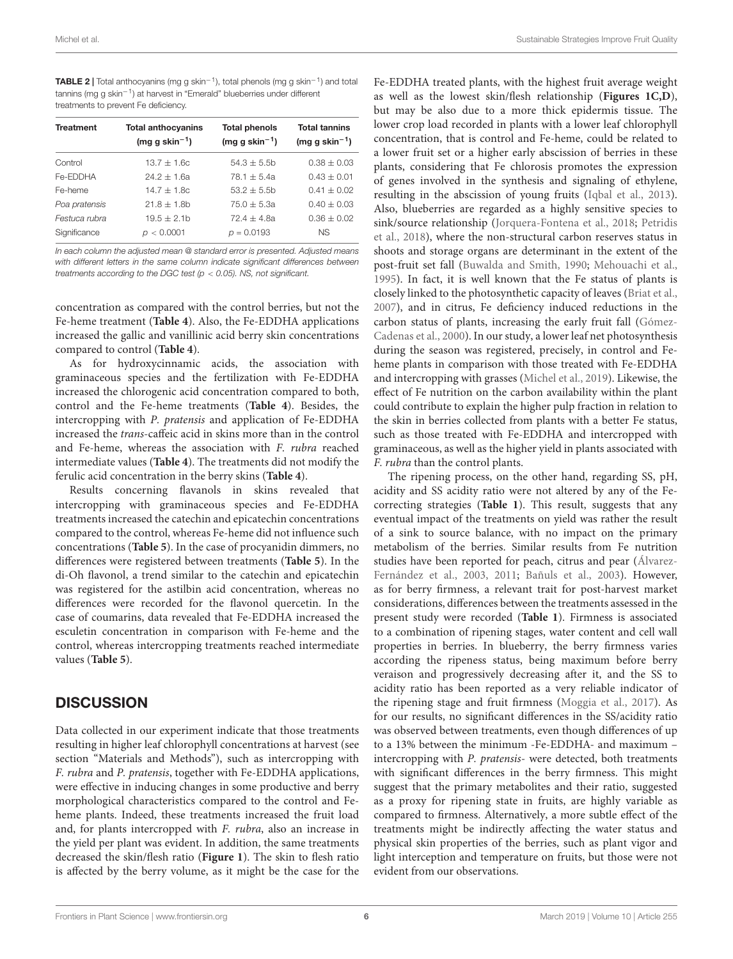<span id="page-5-0"></span>TABLE 2 | Total anthocyanins (mg g skin<sup>−1</sup>), total phenols (mg g skin<sup>−1</sup>) and total tannins (mg g skin<sup>−1</sup>) at harvest in "Emerald" blueberries under different treatments to prevent Fe deficiency.

| <b>Treatment</b> | <b>Total anthocyanins</b><br>(mg g skin <sup>-1</sup> ) | <b>Total phenols</b><br>(mg g skin <sup>-1</sup> ) | <b>Total tannins</b><br>(mg g skin <sup>-1</sup> ) |
|------------------|---------------------------------------------------------|----------------------------------------------------|----------------------------------------------------|
| Control          | $13.7 + 1.6c$                                           | $54.3 + 5.5h$                                      | $0.38 + 0.03$                                      |
| Fe-EDDHA         | $24.2 + 1.6a$                                           | $78.1 + 5.4a$                                      | $0.43 + 0.01$                                      |
| Fe-heme          | $14.7 + 1.8c$                                           | $53.2 + 5.5h$                                      | $0.41 + 0.02$                                      |
| Poa pratensis    | $21.8 + 1.8$ h                                          | $75.0 + 5.3a$                                      | $0.40 + 0.03$                                      |
| Festuca rubra    | $19.5 + 2.1b$                                           | $724 + 48a$                                        | $0.36 + 0.02$                                      |
| Significance     | p < 0.0001                                              | $p = 0.0193$                                       | <b>NS</b>                                          |

In each column the adjusted mean @ standard error is presented. Adjusted means with different letters in the same column indicate significant differences between treatments according to the DGC test  $(p < 0.05)$ . NS, not significant.

concentration as compared with the control berries, but not the Fe-heme treatment (**[Table 4](#page-6-1)**). Also, the Fe-EDDHA applications increased the gallic and vanillinic acid berry skin concentrations compared to control (**[Table 4](#page-6-1)**).

As for hydroxycinnamic acids, the association with graminaceous species and the fertilization with Fe-EDDHA increased the chlorogenic acid concentration compared to both, control and the Fe-heme treatments (**[Table 4](#page-6-1)**). Besides, the intercropping with P. pratensis and application of Fe-EDDHA increased the trans-caffeic acid in skins more than in the control and Fe-heme, whereas the association with F. rubra reached intermediate values (**[Table 4](#page-6-1)**). The treatments did not modify the ferulic acid concentration in the berry skins (**[Table 4](#page-6-1)**).

Results concerning flavanols in skins revealed that intercropping with graminaceous species and Fe-EDDHA treatments increased the catechin and epicatechin concentrations compared to the control, whereas Fe-heme did not influence such concentrations (**[Table 5](#page-6-2)**). In the case of procyanidin dimmers, no differences were registered between treatments (**[Table 5](#page-6-2)**). In the di-Oh flavonol, a trend similar to the catechin and epicatechin was registered for the astilbin acid concentration, whereas no differences were recorded for the flavonol quercetin. In the case of coumarins, data revealed that Fe-EDDHA increased the esculetin concentration in comparison with Fe-heme and the control, whereas intercropping treatments reached intermediate values (**[Table 5](#page-6-2)**).

#### **DISCUSSION**

Data collected in our experiment indicate that those treatments resulting in higher leaf chlorophyll concentrations at harvest (see section "Materials and Methods"), such as intercropping with F. rubra and P. pratensis, together with Fe-EDDHA applications, were effective in inducing changes in some productive and berry morphological characteristics compared to the control and Feheme plants. Indeed, these treatments increased the fruit load and, for plants intercropped with F. rubra, also an increase in the yield per plant was evident. In addition, the same treatments decreased the skin/flesh ratio (**[Figure 1](#page-4-0)**). The skin to flesh ratio is affected by the berry volume, as it might be the case for the Fe-EDDHA treated plants, with the highest fruit average weight as well as the lowest skin/flesh relationship (**[Figures 1C,D](#page-4-0)**), but may be also due to a more thick epidermis tissue. The lower crop load recorded in plants with a lower leaf chlorophyll concentration, that is control and Fe-heme, could be related to a lower fruit set or a higher early abscission of berries in these plants, considering that Fe chlorosis promotes the expression of genes involved in the synthesis and signaling of ethylene, resulting in the abscission of young fruits [\(Iqbal et al.,](#page-8-18) [2013\)](#page-8-18). Also, blueberries are regarded as a highly sensitive species to sink/source relationship [\(Jorquera-Fontena et al.,](#page-8-19) [2018;](#page-8-19) [Petridis](#page-8-20) [et al.,](#page-8-20) [2018\)](#page-8-20), where the non-structural carbon reserves status in shoots and storage organs are determinant in the extent of the post-fruit set fall [\(Buwalda and Smith,](#page-8-21) [1990;](#page-8-21) [Mehouachi et al.,](#page-8-22) [1995\)](#page-8-22). In fact, it is well known that the Fe status of plants is closely linked to the photosynthetic capacity of leaves [\(Briat et al.,](#page-8-23) [2007\)](#page-8-23), and in citrus, Fe deficiency induced reductions in the carbon status of plants, increasing the early fruit fall [\(Gómez-](#page-8-24)[Cadenas et al.,](#page-8-24) [2000\)](#page-8-24). In our study, a lower leaf net photosynthesis during the season was registered, precisely, in control and Feheme plants in comparison with those treated with Fe-EDDHA and intercropping with grasses [\(Michel et al.,](#page-8-12) [2019\)](#page-8-12). Likewise, the effect of Fe nutrition on the carbon availability within the plant could contribute to explain the higher pulp fraction in relation to the skin in berries collected from plants with a better Fe status, such as those treated with Fe-EDDHA and intercropped with graminaceous, as well as the higher yield in plants associated with F. rubra than the control plants.

The ripening process, on the other hand, regarding SS, pH, acidity and SS acidity ratio were not altered by any of the Fecorrecting strategies (**[Table 1](#page-4-1)**). This result, suggests that any eventual impact of the treatments on yield was rather the result of a sink to source balance, with no impact on the primary metabolism of the berries. Similar results from Fe nutrition studies have been reported for peach, citrus and pear [\(Álvarez-](#page-8-3)[Fernández et al.,](#page-8-3) [2003,](#page-8-3) [2011;](#page-8-25) [Bañuls et al.,](#page-8-26) [2003\)](#page-8-26). However, as for berry firmness, a relevant trait for post-harvest market considerations, differences between the treatments assessed in the present study were recorded (**[Table 1](#page-4-1)**). Firmness is associated to a combination of ripening stages, water content and cell wall properties in berries. In blueberry, the berry firmness varies according the ripeness status, being maximum before berry veraison and progressively decreasing after it, and the SS to acidity ratio has been reported as a very reliable indicator of the ripening stage and fruit firmness [\(Moggia et al.,](#page-8-27) [2017\)](#page-8-27). As for our results, no significant differences in the SS/acidity ratio was observed between treatments, even though differences of up to a 13% between the minimum -Fe-EDDHA- and maximum – intercropping with P. pratensis- were detected, both treatments with significant differences in the berry firmness. This might suggest that the primary metabolites and their ratio, suggested as a proxy for ripening state in fruits, are highly variable as compared to firmness. Alternatively, a more subtle effect of the treatments might be indirectly affecting the water status and physical skin properties of the berries, such as plant vigor and light interception and temperature on fruits, but those were not evident from our observations.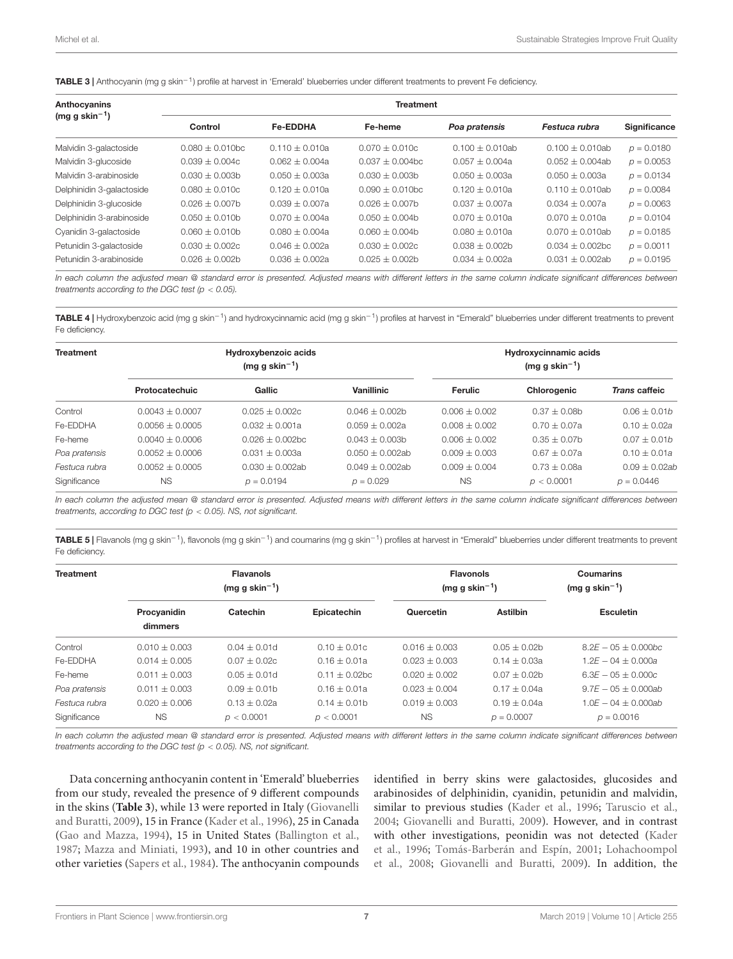<span id="page-6-0"></span>

| Anthocyanins               | <b>Treatment</b>    |                    |                     |                      |                      |              |  |  |
|----------------------------|---------------------|--------------------|---------------------|----------------------|----------------------|--------------|--|--|
| (mg g skin <sup>-1</sup> ) | Control             | <b>Fe-EDDHA</b>    | Fe-heme             | Poa pratensis        | Festuca rubra        | Significance |  |  |
| Malvidin 3-galactoside     | $0.080 + 0.010$ bc  | $0.110 + 0.010a$   | $0.070 + 0.010c$    | $0.100 \pm 0.010$ ab | $0.100 \pm 0.010$ ab | $p = 0.0180$ |  |  |
| Malvidin 3-glucoside       | $0.039 + 0.004c$    | $0.062 + 0.004a$   | $0.037 + 0.004$ bc  | $0.057 + 0.004a$     | $0.052 + 0.004ab$    | $p = 0.0053$ |  |  |
| Malvidin 3-arabinoside     | $0.030 \pm 0.003b$  | $0.050 + 0.003a$   | $0.030 + 0.003b$    | $0.050 + 0.003a$     | $0.050 \pm 0.003a$   | $p = 0.0134$ |  |  |
| Delphinidin 3-galactoside  | $0.080 + 0.010c$    | $0.120 + 0.010a$   | $0.090 + 0.010$ bc  | $0.120 + 0.010a$     | $0.110 \pm 0.010$ ab | $p = 0.0084$ |  |  |
| Delphinidin 3-glucoside    | $0.026 \pm 0.007$ b | $0.039 \pm 0.007a$ | $0.026 \pm 0.007$ b | $0.037 \pm 0.007a$   | $0.034 \pm 0.007a$   | $p = 0.0063$ |  |  |
| Delphinidin 3-arabinoside  | $0.050 + 0.010b$    | $0.070 + 0.004a$   | $0.050 + 0.004b$    | $0.070 + 0.010a$     | $0.070 \pm 0.010a$   | $p = 0.0104$ |  |  |
| Cyanidin 3-galactoside     | $0.060 \pm 0.010b$  | $0.080 + 0.004a$   | $0.060 + 0.004b$    | $0.080 + 0.010a$     | $0.070 \pm 0.010$ ab | $p = 0.0185$ |  |  |
| Petunidin 3-galactoside    | $0.030 + 0.002c$    | $0.046 + 0.002a$   | $0.030 + 0.002c$    | $0.038 \pm 0.002b$   | $0.034 \pm 0.002$ bc | $p = 0.0011$ |  |  |
| Petunidin 3-arabinoside    | $0.026 + 0.002b$    | $0.036 + 0.002a$   | $0.025 + 0.002b$    | $0.034 \pm 0.002a$   | $0.031 + 0.002ab$    | $p = 0.0195$ |  |  |

In each column the adjusted mean @ standard error is presented. Adjusted means with different letters in the same column indicate significant differences between treatments according to the DGC test ( $p < 0.05$ ).

<span id="page-6-1"></span>TABLE 4 | Hydroxybenzoic acid (mg g skin<sup>-1</sup>) and hydroxycinnamic acid (mg g skin<sup>-1</sup>) profiles at harvest in "Emerald" blueberries under different treatments to prevent Fe deficiency.

| <b>Treatment</b> |                   | Hydroxybenzoic acids<br>(mg g skin <sup>-1</sup> ) | Hydroxycinnamic acids<br>(mg g skin <sup>-1</sup> ) |                 |                |                      |
|------------------|-------------------|----------------------------------------------------|-----------------------------------------------------|-----------------|----------------|----------------------|
|                  | Protocatechuic    | Gallic                                             | Vanillinic                                          | Ferulic         | Chlorogenic    | <b>Trans caffeic</b> |
| Control          | $0.0043 + 0.0007$ | $0.025 + 0.002c$                                   | $0.046 + 0.002b$                                    | $0.006 + 0.002$ | $0.37 + 0.08$  | $0.06 + 0.01b$       |
| Fe-EDDHA         | $0.0056 + 0.0005$ | $0.032 + 0.001a$                                   | $0.059 + 0.002a$                                    | $0.008 + 0.002$ | $0.70 + 0.07a$ | $0.10 + 0.02a$       |
| Fe-heme          | $0.0040 + 0.0006$ | $0.026 + 0.002$ bc                                 | $0.043 + 0.003b$                                    | $0.006 + 0.002$ | $0.35 + 0.07b$ | $0.07 + 0.01b$       |
| Poa pratensis    | $0.0052 + 0.0006$ | $0.031 + 0.003a$                                   | $0.050 + 0.002ab$                                   | $0.009 + 0.003$ | $0.67 + 0.07a$ | $0.10 + 0.01a$       |
| Festuca rubra    | $0.0052 + 0.0005$ | $0.030 + 0.002ab$                                  | $0.049 + 0.002ab$                                   | $0.009 + 0.004$ | $0.73 + 0.08a$ | $0.09 + 0.02ab$      |
| Significance     | <b>NS</b>         | $p = 0.0194$                                       | $p = 0.029$                                         | <b>NS</b>       | p < 0.0001     | $p = 0.0446$         |

In each column the adjusted mean @ standard error is presented. Adjusted means with different letters in the same column indicate significant differences between treatments, according to DGC test ( $p < 0.05$ ). NS, not significant.

<span id="page-6-2"></span>TABLE 5 | Flavanols (mg g skin<sup>-1</sup>), flavonols (mg g skin<sup>-1</sup>) and coumarins (mg g skin<sup>-1</sup>) profiles at harvest in "Emerald" blueberries under different treatments to prevent Fe deficiency.

| <b>Treatment</b> | <b>Flavanols</b><br>(mg g skin <sup>-1</sup> ) |                |                  | <b>Flavonols</b><br>(mg g skin <sup>-1</sup> ) |                 | Coumarins<br>(mg g skin <sup>-1</sup> ) |  |
|------------------|------------------------------------------------|----------------|------------------|------------------------------------------------|-----------------|-----------------------------------------|--|
|                  | Procyanidin<br>dimmers                         | Catechin       | Epicatechin      | Quercetin                                      | <b>Astilbin</b> | <b>Esculetin</b>                        |  |
| Control          | $0.010 + 0.003$                                | $0.04 + 0.01d$ | $0.10 + 0.01c$   | $0.016 + 0.003$                                | $0.05 + 0.02b$  | $8.2F - 05 + 0.000bc$                   |  |
| Fe-EDDHA         | $0.014 + 0.005$                                | $0.07 + 0.02c$ | $0.16 + 0.01a$   | $0.023 + 0.003$                                | $0.14 + 0.03a$  | $1.2F - 04 + 0.000a$                    |  |
| Fe-heme          | $0.011 + 0.003$                                | $0.05 + 0.01d$ | $0.11 + 0.02$ bc | $0.020 + 0.002$                                | $0.07 + 0.02h$  | $6.3F - 05 + 0.000c$                    |  |
| Poa pratensis    | $0.011 + 0.003$                                | $0.09 + 0.01b$ | $0.16 + 0.01a$   | $0.023 + 0.004$                                | $0.17 + 0.04a$  | $9.7F - 05 + 0.000ab$                   |  |
| Festuca rubra    | $0.020 + 0.006$                                | $0.13 + 0.02a$ | $0.14 + 0.01b$   | $0.019 + 0.003$                                | $0.19 + 0.04a$  | $1.0F - 04 + 0.000ab$                   |  |
| Significance     | <b>NS</b>                                      | p < 0.0001     | p < 0.0001       | <b>NS</b>                                      | $p = 0.0007$    | $p = 0.0016$                            |  |

In each column the adjusted mean @ standard error is presented. Adjusted means with different letters in the same column indicate significant differences between treatments according to the DGC test  $(p < 0.05)$ . NS, not significant.

Data concerning anthocyanin content in 'Emerald' blueberries from our study, revealed the presence of 9 different compounds in the skins (**[Table 3](#page-6-0)**), while 13 were reported in Italy [\(Giovanelli](#page-8-28) [and Buratti,](#page-8-28) [2009\)](#page-8-28), 15 in France [\(Kader et al.,](#page-8-29) [1996\)](#page-8-29), 25 in Canada [\(Gao and Mazza,](#page-8-30) [1994\)](#page-8-30), 15 in United States [\(Ballington et al.,](#page-8-31) [1987;](#page-8-31) [Mazza and Miniati,](#page-8-32) [1993\)](#page-8-32), and 10 in other countries and other varieties [\(Sapers et al.,](#page-9-6) [1984\)](#page-9-6). The anthocyanin compounds

identified in berry skins were galactosides, glucosides and arabinosides of delphinidin, cyanidin, petunidin and malvidin, similar to previous studies [\(Kader et al.,](#page-8-29) [1996;](#page-8-29) [Taruscio et al.,](#page-9-7) [2004;](#page-9-7) [Giovanelli and Buratti,](#page-8-28) [2009\)](#page-8-28). However, and in contrast with other investigations, peonidin was not detected [\(Kader](#page-8-29) [et al.,](#page-8-29) [1996;](#page-8-29) [Tomás-Barberán and Espín,](#page-9-8) [2001;](#page-9-8) [Lohachoompol](#page-8-33) [et al.,](#page-8-33) [2008;](#page-8-33) [Giovanelli and Buratti,](#page-8-28) [2009\)](#page-8-28). In addition, the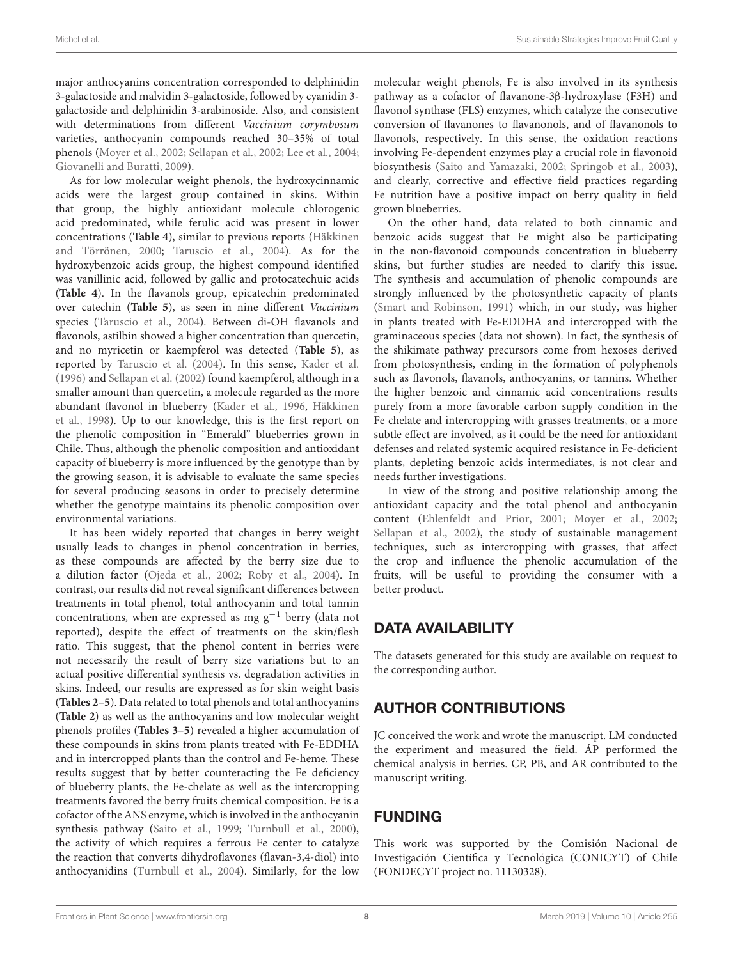major anthocyanins concentration corresponded to delphinidin 3-galactoside and malvidin 3-galactoside, followed by cyanidin 3 galactoside and delphinidin 3-arabinoside. Also, and consistent with determinations from different Vaccinium corymbosum varieties, anthocyanin compounds reached 30–35% of total phenols [\(Moyer et al.,](#page-8-34) [2002;](#page-8-34) [Sellapan et al.,](#page-9-9) [2002;](#page-9-9) [Lee et al.,](#page-8-35) [2004;](#page-8-35) [Giovanelli and Buratti,](#page-8-28) [2009\)](#page-8-28).

As for low molecular weight phenols, the hydroxycinnamic acids were the largest group contained in skins. Within that group, the highly antioxidant molecule chlorogenic acid predominated, while ferulic acid was present in lower concentrations (**[Table 4](#page-6-1)**), similar to previous reports [\(Häkkinen](#page-8-36) [and Törrönen,](#page-8-36) [2000;](#page-8-36) [Taruscio et al.,](#page-9-7) [2004\)](#page-9-7). As for the hydroxybenzoic acids group, the highest compound identified was vanillinic acid, followed by gallic and protocatechuic acids (**[Table 4](#page-6-1)**). In the flavanols group, epicatechin predominated over catechin (**[Table 5](#page-6-2)**), as seen in nine different Vaccinium species [\(Taruscio et al.,](#page-9-7) [2004\)](#page-9-7). Between di-OH flavanols and flavonols, astilbin showed a higher concentration than quercetin, and no myricetin or kaempferol was detected (**[Table 5](#page-6-2)**), as reported by [Taruscio et al.](#page-9-7) [\(2004\)](#page-9-7). In this sense, [Kader et al.](#page-8-29) [\(1996\)](#page-8-29) and [Sellapan et al.](#page-9-9) [\(2002\)](#page-9-9) found kaempferol, although in a smaller amount than quercetin, a molecule regarded as the more abundant flavonol in blueberry [\(Kader et al.,](#page-8-29) [1996,](#page-8-29) [Häkkinen](#page-8-37) [et al.,](#page-8-37) [1998\)](#page-8-37). Up to our knowledge, this is the first report on the phenolic composition in "Emerald" blueberries grown in Chile. Thus, although the phenolic composition and antioxidant capacity of blueberry is more influenced by the genotype than by the growing season, it is advisable to evaluate the same species for several producing seasons in order to precisely determine whether the genotype maintains its phenolic composition over environmental variations.

It has been widely reported that changes in berry weight usually leads to changes in phenol concentration in berries, as these compounds are affected by the berry size due to a dilution factor [\(Ojeda et al.,](#page-8-38) [2002;](#page-8-38) [Roby et al.,](#page-8-39) [2004\)](#page-8-39). In contrast, our results did not reveal significant differences between treatments in total phenol, total anthocyanin and total tannin concentrations, when are expressed as mg  $g^{-1}$  berry (data not reported), despite the effect of treatments on the skin/flesh ratio. This suggest, that the phenol content in berries were not necessarily the result of berry size variations but to an actual positive differential synthesis vs. degradation activities in skins. Indeed, our results are expressed as for skin weight basis (**[Tables 2](#page-5-0)**–**[5](#page-6-2)**). Data related to total phenols and total anthocyanins (**[Table 2](#page-5-0)**) as well as the anthocyanins and low molecular weight phenols profiles (**[Tables 3](#page-6-0)**–**[5](#page-6-2)**) revealed a higher accumulation of these compounds in skins from plants treated with Fe-EDDHA and in intercropped plants than the control and Fe-heme. These results suggest that by better counteracting the Fe deficiency of blueberry plants, the Fe-chelate as well as the intercropping treatments favored the berry fruits chemical composition. Fe is a cofactor of the ANS enzyme, which is involved in the anthocyanin synthesis pathway [\(Saito et al.,](#page-9-0) [1999;](#page-9-0) [Turnbull et al.,](#page-9-1) [2000\)](#page-9-1), the activity of which requires a ferrous Fe center to catalyze the reaction that converts dihydroflavones (flavan-3,4-diol) into anthocyanidins [\(Turnbull et al.,](#page-9-10) [2004\)](#page-9-10). Similarly, for the low

molecular weight phenols, Fe is also involved in its synthesis pathway as a cofactor of flavanone-3β-hydroxylase (F3H) and flavonol synthase (FLS) enzymes, which catalyze the consecutive conversion of flavanones to flavanonols, and of flavanonols to flavonols, respectively. In this sense, the oxidation reactions involving Fe-dependent enzymes play a crucial role in flavonoid biosynthesis [\(Saito and Yamazaki,](#page-9-11) [2002;](#page-9-11) [Springob et al.,](#page-9-12) [2003\)](#page-9-12), and clearly, corrective and effective field practices regarding Fe nutrition have a positive impact on berry quality in field grown blueberries.

On the other hand, data related to both cinnamic and benzoic acids suggest that Fe might also be participating in the non-flavonoid compounds concentration in blueberry skins, but further studies are needed to clarify this issue. The synthesis and accumulation of phenolic compounds are strongly influenced by the photosynthetic capacity of plants [\(Smart and Robinson,](#page-9-13) [1991\)](#page-9-13) which, in our study, was higher in plants treated with Fe-EDDHA and intercropped with the graminaceous species (data not shown). In fact, the synthesis of the shikimate pathway precursors come from hexoses derived from photosynthesis, ending in the formation of polyphenols such as flavonols, flavanols, anthocyanins, or tannins. Whether the higher benzoic and cinnamic acid concentrations results purely from a more favorable carbon supply condition in the Fe chelate and intercropping with grasses treatments, or a more subtle effect are involved, as it could be the need for antioxidant defenses and related systemic acquired resistance in Fe-deficient plants, depleting benzoic acids intermediates, is not clear and needs further investigations.

In view of the strong and positive relationship among the antioxidant capacity and the total phenol and anthocyanin content [\(Ehlenfeldt and Prior,](#page-8-40) [2001;](#page-8-40) [Moyer et al.,](#page-8-34) [2002;](#page-8-34) [Sellapan et al.,](#page-9-9) [2002\)](#page-9-9), the study of sustainable management techniques, such as intercropping with grasses, that affect the crop and influence the phenolic accumulation of the fruits, will be useful to providing the consumer with a better product.

#### DATA AVAILABILITY

The datasets generated for this study are available on request to the corresponding author.

# AUTHOR CONTRIBUTIONS

JC conceived the work and wrote the manuscript. LM conducted the experiment and measured the field. ÁP performed the chemical analysis in berries. CP, PB, and AR contributed to the manuscript writing.

# FUNDING

This work was supported by the Comisión Nacional de Investigación Científica y Tecnológica (CONICYT) of Chile (FONDECYT project no. 11130328).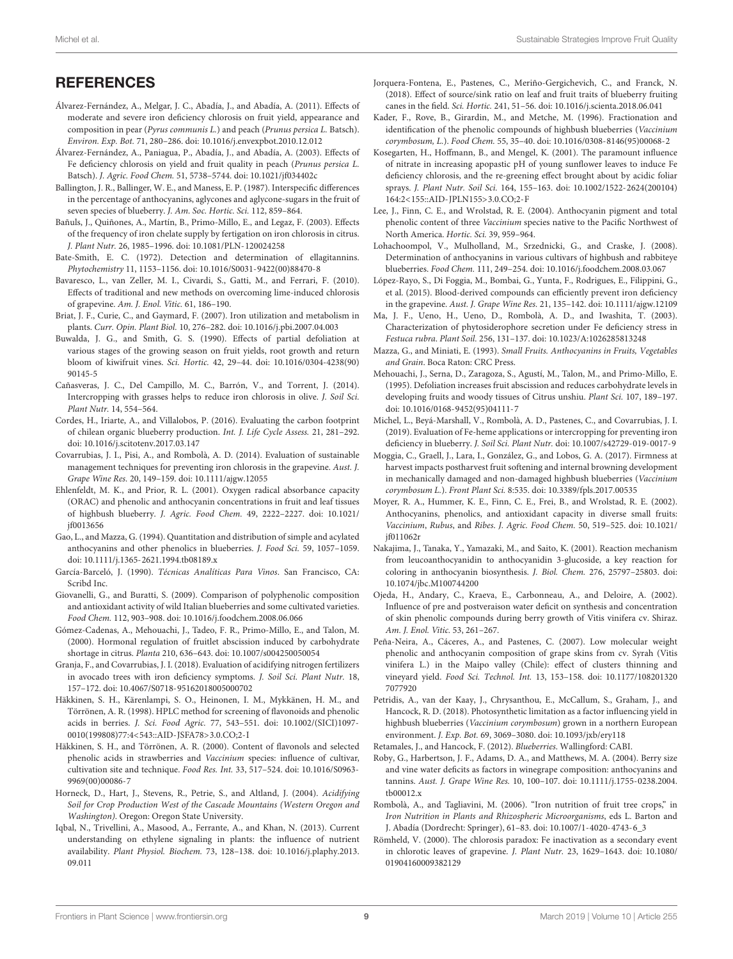#### **REFERENCES**

- <span id="page-8-25"></span>Álvarez-Fernández, A., Melgar, J. C., Abadía, J., and Abadía, A. (2011). Effects of moderate and severe iron deficiency chlorosis on fruit yield, appearance and composition in pear (Pyrus communis L.) and peach (Prunus persica L. Batsch). Environ. Exp. Bot. 71, 280–286. [doi: 10.1016/j.envexpbot.2010.12.012](https://doi.org/10.1016/j.envexpbot.2010.12.012)
- <span id="page-8-3"></span>Álvarez-Fernández, A., Paniagua, P., Abadía, J., and Abadía, A. (2003). Effects of Fe deficiency chlorosis on yield and fruit quality in peach (Prunus persica L. Batsch). J. Agric. Food Chem. 51, 5738–5744. [doi: 10.1021/jf034402c](https://doi.org/10.1021/jf034402c)
- <span id="page-8-31"></span>Ballington, J. R., Ballinger, W. E., and Maness, E. P. (1987). Interspecific differences in the percentage of anthocyanins, aglycones and aglycone-sugars in the fruit of seven species of blueberry. J. Am. Soc. Hortic. Sci. 112, 859–864.
- <span id="page-8-26"></span>Bañuls, J., Quiñones, A., Martín, B., Primo-Millo, E., and Legaz, F. (2003). Effects of the frequency of iron chelate supply by fertigation on iron chlorosis in citrus. J. Plant Nutr. 26, 1985–1996. [doi: 10.1081/PLN-120024258](https://doi.org/10.1081/PLN-120024258)
- <span id="page-8-16"></span>Bate-Smith, E. C. (1972). Detection and determination of ellagitannins. Phytochemistry 11, 1153–1156. [doi: 10.1016/S0031-9422\(00\)88470-8](https://doi.org/10.1016/S0031-9422(00)88470-8)
- <span id="page-8-4"></span>Bavaresco, L., van Zeller, M. I., Civardi, S., Gatti, M., and Ferrari, F. (2010). Effects of traditional and new methods on overcoming lime-induced chlorosis of grapevine. Am. J. Enol. Vitic. 61, 186–190.
- <span id="page-8-23"></span>Briat, J. F., Curie, C., and Gaymard, F. (2007). Iron utilization and metabolism in plants. Curr. Opin. Plant Biol. 10, 276–282. [doi: 10.1016/j.pbi.2007.04.003](https://doi.org/10.1016/j.pbi.2007.04.003)
- <span id="page-8-21"></span>Buwalda, J. G., and Smith, G. S. (1990). Effects of partial defoliation at various stages of the growing season on fruit yields, root growth and return bloom of kiwifruit vines. Sci. Hortic. 42, 29–44. [doi: 10.1016/0304-4238\(90\)](https://doi.org/10.1016/0304-4238(90)90145-5) [90145-5](https://doi.org/10.1016/0304-4238(90)90145-5)
- <span id="page-8-8"></span>Cañasveras, J. C., Del Campillo, M. C., Barrón, V., and Torrent, J. (2014). Intercropping with grasses helps to reduce iron chlorosis in olive. J. Soil Sci. Plant Nutr. 14, 554–564.
- <span id="page-8-0"></span>Cordes, H., Iriarte, A., and Villalobos, P. (2016). Evaluating the carbon footprint of chilean organic blueberry production. Int. J. Life Cycle Assess. 21, 281–292. [doi: 10.1016/j.scitotenv.2017.03.147](https://doi.org/10.1016/j.scitotenv.2017.03.147)
- <span id="page-8-9"></span>Covarrubias, J. I., Pisi, A., and Rombolà, A. D. (2014). Evaluation of sustainable management techniques for preventing iron chlorosis in the grapevine. Aust. J. Grape Wine Res. 20, 149–159. [doi: 10.1111/ajgw.12055](https://doi.org/10.1111/ajgw.12055)
- <span id="page-8-40"></span>Ehlenfeldt, M. K., and Prior, R. L. (2001). Oxygen radical absorbance capacity (ORAC) and phenolic and anthocyanin concentrations in fruit and leaf tissues of highbush blueberry. J. Agric. Food Chem. 49, 2222–2227. [doi: 10.1021/](https://doi.org/10.1021/jf0013656) [jf0013656](https://doi.org/10.1021/jf0013656)
- <span id="page-8-30"></span>Gao, L., and Mazza, G. (1994). Quantitation and distribution of simple and acylated anthocyanins and other phenolics in blueberries. J. Food Sci. 59, 1057–1059. [doi: 10.1111/j.1365-2621.1994.tb08189.x](https://doi.org/10.1111/j.1365-2621.1994.tb08189.x)
- <span id="page-8-15"></span>García-Barceló, J. (1990). Técnicas Analíticas Para Vinos. San Francisco, CA: Scribd Inc.
- <span id="page-8-28"></span>Giovanelli, G., and Buratti, S. (2009). Comparison of polyphenolic composition and antioxidant activity of wild Italian blueberries and some cultivated varieties. Food Chem. 112, 903–908. [doi: 10.1016/j.foodchem.2008.06.066](https://doi.org/10.1016/j.foodchem.2008.06.066)
- <span id="page-8-24"></span>Gómez-Cadenas, A., Mehouachi, J., Tadeo, F. R., Primo-Millo, E., and Talon, M. (2000). Hormonal regulation of fruitlet abscission induced by carbohydrate shortage in citrus. Planta 210, 636–643. [doi: 10.1007/s004250050054](https://doi.org/10.1007/s004250050054)
- <span id="page-8-10"></span>Granja, F., and Covarrubias, J. I. (2018). Evaluation of acidifying nitrogen fertilizers in avocado trees with iron deficiency symptoms. J. Soil Sci. Plant Nutr. 18, 157–172. [doi: 10.4067/S0718-95162018005000702](https://doi.org/10.4067/S0718-95162018005000702)
- <span id="page-8-37"></span>Häkkinen, S. H., Kärenlampi, S. O., Heinonen, I. M., Mykkänen, H. M., and Törrönen, A. R. (1998). HPLC method for screening of flavonoids and phenolic acids in berries. J. Sci. Food Agric. 77, 543–551. [doi: 10.1002/\(SICI\)1097-](https://doi.org/10.1002/(SICI)1097-0010(199808)77:4<543::AID-JSFA78>3.0.CO;2-I) [0010\(199808\)77:4<543::AID-JSFA78>3.0.CO;2-I](https://doi.org/10.1002/(SICI)1097-0010(199808)77:4<543::AID-JSFA78>3.0.CO;2-I)
- <span id="page-8-36"></span>Häkkinen, S. H., and Törrönen, A. R. (2000). Content of flavonols and selected phenolic acids in strawberries and Vaccinium species: influence of cultivar, cultivation site and technique. Food Res. Int. 33, 517–524. [doi: 10.1016/S0963-](https://doi.org/10.1016/S0963-9969(00)00086-7) [9969\(00\)00086-7](https://doi.org/10.1016/S0963-9969(00)00086-7)
- <span id="page-8-6"></span>Horneck, D., Hart, J., Stevens, R., Petrie, S., and Altland, J. (2004). Acidifying Soil for Crop Production West of the Cascade Mountains (Western Oregon and Washington). Oregon: Oregon State University.
- <span id="page-8-18"></span>Iqbal, N., Trivellini, A., Masood, A., Ferrante, A., and Khan, N. (2013). Current understanding on ethylene signaling in plants: the influence of nutrient availability. Plant Physiol. Biochem. 73, 128–138. [doi: 10.1016/j.plaphy.2013.](https://doi.org/10.1016/j.plaphy.2013.09.011) [09.011](https://doi.org/10.1016/j.plaphy.2013.09.011)
- <span id="page-8-19"></span>Jorquera-Fontena, E., Pastenes, C., Meriño-Gergichevich, C., and Franck, N. (2018). Effect of source/sink ratio on leaf and fruit traits of blueberry fruiting canes in the field. Sci. Hortic. 241, 51–56. [doi: 10.1016/j.scienta.2018.06.041](https://doi.org/10.1016/j.scienta.2018.06.041)
- <span id="page-8-29"></span>Kader, F., Rove, B., Girardin, M., and Metche, M. (1996). Fractionation and identification of the phenolic compounds of highbush blueberries (Vaccinium corymbosum, L.). Food Chem. 55, 35–40. [doi: 10.1016/0308-8146\(95\)00068-2](https://doi.org/10.1016/0308-8146(95)00068-2)
- <span id="page-8-14"></span>Kosegarten, H., Hoffmann, B., and Mengel, K. (2001). The paramount influence of nitrate in increasing apopastic pH of young sunflower leaves to induce Fe deficiency chlorosis, and the re-greening effect brought about by acidic foliar sprays. J. Plant Nutr. Soil Sci. 164, 155–163. [doi: 10.1002/1522-2624\(200104\)](https://doi.org/10.1002/1522-2624(200104)164:2<155::AID-JPLN155>3.0.CO;2-F) [164:2<155::AID-JPLN155>3.0.CO;2-F](https://doi.org/10.1002/1522-2624(200104)164:2<155::AID-JPLN155>3.0.CO;2-F)
- <span id="page-8-35"></span>Lee, J., Finn, C. E., and Wrolstad, R. E. (2004). Anthocyanin pigment and total phenolic content of three Vaccinium species native to the Pacific Northwest of North America. Hortic. Sci. 39, 959–964.
- <span id="page-8-33"></span>Lohachoompol, V., Mulholland, M., Srzednicki, G., and Craske, J. (2008). Determination of anthocyanins in various cultivars of highbush and rabbiteye blueberries. Food Chem. 111, 249–254. [doi: 10.1016/j.foodchem.2008.03.067](https://doi.org/10.1016/j.foodchem.2008.03.067)
- <span id="page-8-7"></span>López-Rayo, S., Di Foggia, M., Bombai, G., Yunta, F., Rodrigues, E., Filippini, G., et al. (2015). Blood-derived compounds can efficiently prevent iron deficiency in the grapevine. Aust. J. Grape Wine Res. 21, 135–142. [doi: 10.1111/ajgw.12109](https://doi.org/10.1111/ajgw.12109)
- <span id="page-8-11"></span>Ma, J. F., Ueno, H., Ueno, D., Rombolà, A. D., and Iwashita, T. (2003). Characterization of phytosiderophore secretion under Fe deficiency stress in Festuca rubra. Plant Soil. 256, 131–137. [doi: 10.1023/A:1026285813248](https://doi.org/10.1023/A:1026285813248)
- <span id="page-8-32"></span>Mazza, G., and Miniati, E. (1993). Small Fruits. Anthocyanins in Fruits, Vegetables and Grain. Boca Raton: CRC Press.
- <span id="page-8-22"></span>Mehouachi, J., Serna, D., Zaragoza, S., Agustí, M., Talon, M., and Primo-Millo, E. (1995). Defoliation increases fruit abscission and reduces carbohydrate levels in developing fruits and woody tissues of Citrus unshiu. Plant Sci. 107, 189–197. [doi: 10.1016/0168-9452\(95\)04111-7](https://doi.org/10.1016/0168-9452(95)04111-7)
- <span id="page-8-12"></span>Michel, L., Beyá-Marshall, V., Rombolà, A. D., Pastenes, C., and Covarrubias, J. I. (2019). Evaluation of Fe-heme applications or intercropping for preventing iron deficiency in blueberry. J. Soil Sci. Plant Nutr. [doi: 10.1007/s42729-019-0017-9](https://doi.org/10.1007/s42729-019-0017-9)
- <span id="page-8-27"></span>Moggia, C., Graell, J., Lara, I., González, G., and Lobos, G. A. (2017). Firmness at harvest impacts postharvest fruit softening and internal browning development in mechanically damaged and non-damaged highbush blueberries (Vaccinium corymbosum L.). Front Plant Sci. 8:535. [doi: 10.3389/fpls.2017.00535](https://doi.org/10.3389/fpls.2017.00535)
- <span id="page-8-34"></span>Moyer, R. A., Hummer, K. E., Finn, C. E., Frei, B., and Wrolstad, R. E. (2002). Anthocyanins, phenolics, and antioxidant capacity in diverse small fruits: Vaccinium, Rubus, and Ribes. J. Agric. Food Chem. 50, 519–525. [doi: 10.1021/](https://doi.org/10.1021/jf011062r) [jf011062r](https://doi.org/10.1021/jf011062r)
- <span id="page-8-5"></span>Nakajima, J., Tanaka, Y., Yamazaki, M., and Saito, K. (2001). Reaction mechanism from leucoanthocyanidin to anthocyanidin 3-glucoside, a key reaction for coloring in anthocyanin biosynthesis. J. Biol. Chem. 276, 25797–25803. [doi:](https://doi.org/10.1074/jbc.M100744200) [10.1074/jbc.M100744200](https://doi.org/10.1074/jbc.M100744200)
- <span id="page-8-38"></span>Ojeda, H., Andary, C., Kraeva, E., Carbonneau, A., and Deloire, A. (2002). Influence of pre and postveraison water deficit on synthesis and concentration of skin phenolic compounds during berry growth of Vitis vinifera cv. Shiraz. Am. J. Enol. Vitic. 53, 261–267.
- <span id="page-8-17"></span>Peña-Neira, A., Cáceres, A., and Pastenes, C. (2007). Low molecular weight phenolic and anthocyanin composition of grape skins from cv. Syrah (Vitis vinifera L.) in the Maipo valley (Chile): effect of clusters thinning and vineyard yield. Food Sci. Technol. Int. 13, 153–158. [doi: 10.1177/108201320](https://doi.org/10.1177/1082013207077920) [7077920](https://doi.org/10.1177/1082013207077920)
- <span id="page-8-20"></span>Petridis, A., van der Kaay, J., Chrysanthou, E., McCallum, S., Graham, J., and Hancock, R. D. (2018). Photosynthetic limitation as a factor influencing yield in highbush blueberries (Vaccinium corymbosum) grown in a northern European environment. J. Exp. Bot. 69, 3069–3080. [doi: 10.1093/jxb/ery118](https://doi.org/10.1093/jxb/ery118)
- <span id="page-8-1"></span>Retamales, J., and Hancock, F. (2012). Blueberries. Wallingford: CABI.
- <span id="page-8-39"></span>Roby, G., Harbertson, J. F., Adams, D. A., and Matthews, M. A. (2004). Berry size and vine water deficits as factors in winegrape composition: anthocyanins and tannins. Aust. J. Grape Wine Res. 10, 100–107. [doi: 10.1111/j.1755-0238.2004.](https://doi.org/10.1111/j.1755-0238.2004.tb00012.x) [tb00012.x](https://doi.org/10.1111/j.1755-0238.2004.tb00012.x)
- <span id="page-8-2"></span>Rombolà, A., and Tagliavini, M. (2006). "Iron nutrition of fruit tree crops," in Iron Nutrition in Plants and Rhizospheric Microorganisms, eds L. Barton and J. Abadía (Dordrecht: Springer), 61–83. [doi: 10.1007/1-4020-4743-6\\_3](https://doi.org/10.1007/1-4020-4743-6_3)
- <span id="page-8-13"></span>Römheld, V. (2000). The chlorosis paradox: Fe inactivation as a secondary event in chlorotic leaves of grapevine. J. Plant Nutr. 23, 1629–1643. [doi: 10.1080/](https://doi.org/10.1080/01904160009382129) [01904160009382129](https://doi.org/10.1080/01904160009382129)